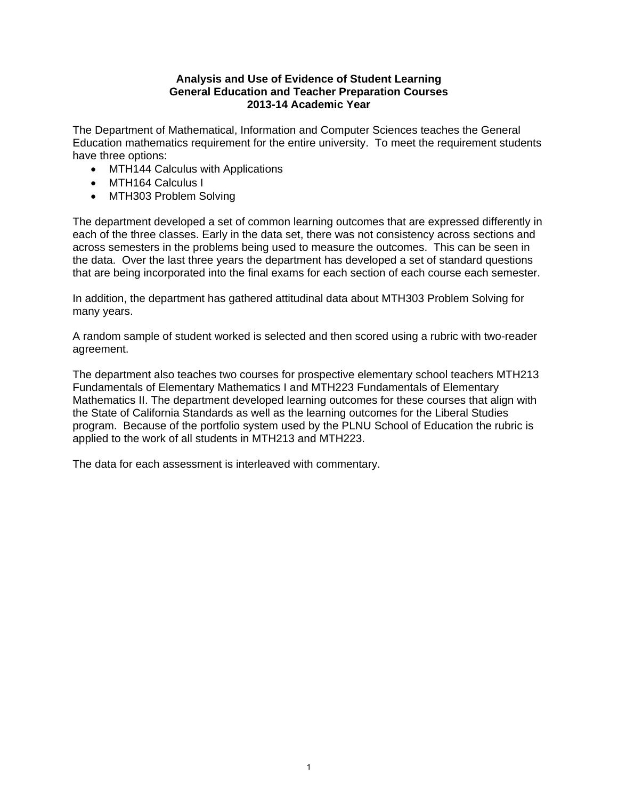#### **Analysis and Use of Evidence of Student Learning General Education and Teacher Preparation Courses 2013-14 Academic Year**

The Department of Mathematical, Information and Computer Sciences teaches the General Education mathematics requirement for the entire university. To meet the requirement students have three options:

- MTH144 Calculus with Applications
- MTH164 Calculus I
- MTH303 Problem Solving

The department developed a set of common learning outcomes that are expressed differently in each of the three classes. Early in the data set, there was not consistency across sections and across semesters in the problems being used to measure the outcomes. This can be seen in the data. Over the last three years the department has developed a set of standard questions that are being incorporated into the final exams for each section of each course each semester.

In addition, the department has gathered attitudinal data about MTH303 Problem Solving for many years.

A random sample of student worked is selected and then scored using a rubric with two-reader agreement.

The department also teaches two courses for prospective elementary school teachers MTH213 Fundamentals of Elementary Mathematics I and MTH223 Fundamentals of Elementary Mathematics II. The department developed learning outcomes for these courses that align with the State of California Standards as well as the learning outcomes for the Liberal Studies program. Because of the portfolio system used by the PLNU School of Education the rubric is applied to the work of all students in MTH213 and MTH223.

The data for each assessment is interleaved with commentary.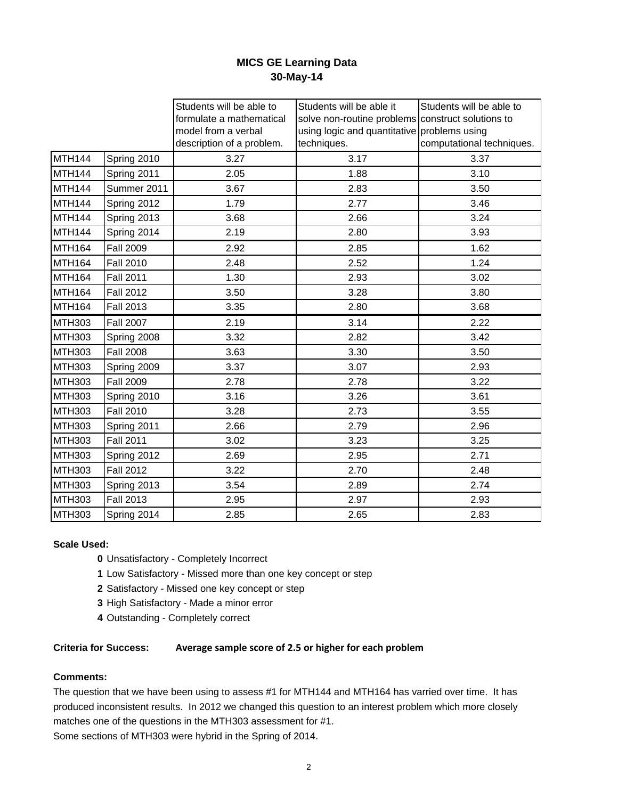# **MICS GE Learning Data 30-May-14**

|               |                  | Students will be able to  | Students will be able it                          | Students will be able to  |
|---------------|------------------|---------------------------|---------------------------------------------------|---------------------------|
|               |                  | formulate a mathematical  | solve non-routine problems construct solutions to |                           |
|               |                  | model from a verbal       | using logic and quantitative problems using       |                           |
|               |                  | description of a problem. | techniques.                                       | computational techniques. |
| <b>MTH144</b> | Spring 2010      | 3.27                      | 3.17                                              | 3.37                      |
| <b>MTH144</b> | Spring 2011      | 2.05                      | 1.88                                              | 3.10                      |
| <b>MTH144</b> | Summer 2011      | 3.67                      | 2.83                                              | 3.50                      |
| <b>MTH144</b> | Spring 2012      | 1.79                      | 2.77                                              | 3.46                      |
| <b>MTH144</b> | Spring 2013      | 3.68                      | 2.66                                              | 3.24                      |
| MTH144        | Spring 2014      | 2.19                      | 2.80                                              | 3.93                      |
| <b>MTH164</b> | <b>Fall 2009</b> | 2.92                      | 2.85                                              | 1.62                      |
| <b>MTH164</b> | <b>Fall 2010</b> | 2.48                      | 2.52                                              | 1.24                      |
| <b>MTH164</b> | <b>Fall 2011</b> | 1.30                      | 2.93                                              | 3.02                      |
| <b>MTH164</b> | <b>Fall 2012</b> | 3.50                      | 3.28                                              | 3.80                      |
| MTH164        | <b>Fall 2013</b> | 3.35                      | 2.80                                              | 3.68                      |
| <b>MTH303</b> | <b>Fall 2007</b> | 2.19                      | 3.14                                              | 2.22                      |
| <b>MTH303</b> | Spring 2008      | 3.32                      | 2.82                                              | 3.42                      |
| <b>MTH303</b> | <b>Fall 2008</b> | 3.63                      | 3.30                                              | 3.50                      |
| <b>MTH303</b> | Spring 2009      | 3.37                      | 3.07                                              | 2.93                      |
| <b>MTH303</b> | <b>Fall 2009</b> | 2.78                      | 2.78                                              | 3.22                      |
| <b>MTH303</b> | Spring 2010      | 3.16                      | 3.26                                              | 3.61                      |
| <b>MTH303</b> | <b>Fall 2010</b> | 3.28                      | 2.73                                              | 3.55                      |
| <b>MTH303</b> | Spring 2011      | 2.66                      | 2.79                                              | 2.96                      |
| <b>MTH303</b> | <b>Fall 2011</b> | 3.02                      | 3.23                                              | 3.25                      |
| <b>MTH303</b> | Spring 2012      | 2.69                      | 2.95                                              | 2.71                      |
| <b>MTH303</b> | <b>Fall 2012</b> | 3.22                      | 2.70                                              | 2.48                      |
| <b>MTH303</b> | Spring 2013      | 3.54                      | 2.89                                              | 2.74                      |
| <b>MTH303</b> | <b>Fall 2013</b> | 2.95                      | 2.97                                              | 2.93                      |
| <b>MTH303</b> | Spring 2014      | 2.85                      | 2.65                                              | 2.83                      |
|               |                  |                           |                                                   |                           |

#### **Scale Used:**

- **0** Unsatisfactory Completely Incorrect
- **1** Low Satisfactory Missed more than one key concept or step
- **2** Satisfactory Missed one key concept or step
- **3** High Satisfactory Made a minor error
- **4** Outstanding Completely correct

#### **Criteria for Success: Average sample score of 2.5 or higher for each problem**

#### **Comments:**

The question that we have been using to assess #1 for MTH144 and MTH164 has varried over time. It has produced inconsistent results. In 2012 we changed this question to an interest problem which more closely matches one of the questions in the MTH303 assessment for #1.

Some sections of MTH303 were hybrid in the Spring of 2014.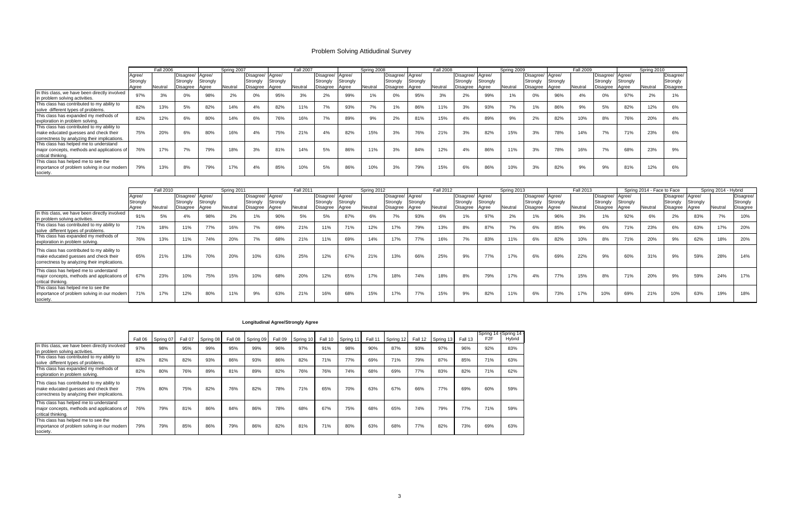|                                                                                                                                      |                             | <b>Fall 2006</b> |                                          |                   | Spring 2007    |                                                |          | <b>Fall 2007</b> |                                                |          | Spring 2008 |                                                |          | <b>Fall 2008</b> |                                                |          | Spring 2009 |                                          |                   | <b>Fall 2009</b> |                                                |          | Spring 2010 |                                   |
|--------------------------------------------------------------------------------------------------------------------------------------|-----------------------------|------------------|------------------------------------------|-------------------|----------------|------------------------------------------------|----------|------------------|------------------------------------------------|----------|-------------|------------------------------------------------|----------|------------------|------------------------------------------------|----------|-------------|------------------------------------------|-------------------|------------------|------------------------------------------------|----------|-------------|-----------------------------------|
|                                                                                                                                      | Agree/<br>Strongly<br>Agree | Neutral          | Disagree/ Agree/<br>Strongly<br>Disagree | Strongly<br>Agree | Neutral        | Disagree/ Agree/<br>Strongly<br>Disagree Agree | Strongly | Neutral          | Disagree/ Agree/<br>Strongly<br>Disagree Agree | Strongly | Neutral     | Disagree/ Agree/<br>Strongly<br>Disagree Agree | Strongly | Neutral          | Disagree/ Agree/<br>Strongly<br>Disagree Agree | Strongly | Neutral     | Disagree/ Agree/<br>Strongly<br>Disagree | Strongly<br>Agree | Neutral          | Disagree/ Agree/<br>Strongly<br>Disagree Agree | Strongly | Neutral     | Disagree/<br>Strongly<br>Disagree |
| In this class, we have been directly involved<br>in problem solving activities.                                                      | 97%                         |                  | 0%                                       | 98%               | 0 <sup>0</sup> | $0\%$                                          | 95%      |                  | 2%                                             | 99%      |             | 0%                                             | 95%      | 3%               | 2%                                             | 99%      |             | 0%                                       | 96%               | 4%               | 0%                                             | 97%      | 2%          | 1%                                |
| This class has contributed to my ability to<br>solve different types of problems.                                                    | 82%                         | 13%              | 5%                                       | 82%               | 14%            | 4%                                             | 82%      | 11%              | 7%                                             | 93%      | 7%          | 1%                                             | 86%      | 11%              | 3%                                             | 93%      | 7%          | $1\%$                                    | 86%               | 9%               | 5%                                             | 82%      | 12%         | 6%                                |
| This class has expanded my methods of<br>exploration in problem solving.                                                             | 82%                         | 12%              | 6%                                       | 80%               | 14%            | 6%                                             | 76%      | 16%              | 7%                                             | 89%      | 9%          | 2%                                             | 81%      | 15%              | 4%                                             | 89%      | 9%          | 2%                                       | 82%               | 10%              | 8%                                             | 76%      | 20%         | 4%                                |
| This class has contributed to my ability to<br>make educated quesses and check their<br>correctness by analyzing their implications. | 75%                         | 20%              | 6%                                       | 80%               | 16%            | 4%                                             | 75%      | 21%              | 4%                                             | 82%      | 15%         | 3%                                             | 76%      | 21%              | 3%                                             | 82%      | 15%         | 3%                                       | 78%               | 14%              | 7%                                             | 71%      | 23%         | 6%                                |
| This class has helped me to understand<br>major concepts, methods and applications of<br>critical thinking.                          | 76%                         | 17%              | 7%                                       | 79%               | 18%            | 3%                                             | 81%      | 14%              | 5%                                             | 86%      | 11%         | 3%                                             | 84%      | 12%              | 4%                                             | 86%      | 11%         | 3%                                       | 78%               | 16%              | 7%                                             | 68%      | 23%         | 9%                                |
| This class has helped me to see the<br>importance of problem solving in our modern<br>society.                                       | 79%                         | 13%              | 8%                                       | 79%               | 17%            | 4%                                             | 85%      | 10%              | 5%                                             | 86%      | 10%         | 3%                                             | 79%      | 15%              | 6%                                             | 86%      | 10%         | 3%                                       | 82%               | 9%               | 9%                                             | 81%      | 12%         | 6%                                |

|                                                                                                                                      |                   | <b>Fall 2010</b> |                              |          | Spring 2011 |                       |                    | <b>Fall 2011</b> |                              |          | Spring 2012 |                              |                | <b>Fall 2012</b> |                              |          | Spring 2013 |                              |               | <b>Fall 2013</b> |                              |          | Spring 2014 - Face to Face |                              |          | Spring 2014 - Hybrid |                       |
|--------------------------------------------------------------------------------------------------------------------------------------|-------------------|------------------|------------------------------|----------|-------------|-----------------------|--------------------|------------------|------------------------------|----------|-------------|------------------------------|----------------|------------------|------------------------------|----------|-------------|------------------------------|---------------|------------------|------------------------------|----------|----------------------------|------------------------------|----------|----------------------|-----------------------|
|                                                                                                                                      | Aaree<br>Strongly |                  | Disagree/ Agree/<br>Strongly | Strongly |             | Disagree/<br>Strongly | Agree/<br>Strongly |                  | Disagree/ Agree/<br>Strongly | Strongly |             | Disagree/ Agree/<br>Strongly | Strongly       |                  | Disagree/ Agree/<br>Strongly | Strongly |             | Disagree/ Agree/<br>Strongly | Strongly      |                  | Disagree/ Agree/<br>Strongly | Strongly |                            | Disagree/ Agree/<br>Strongly | Strongly |                      | Disagree/<br>Strongly |
|                                                                                                                                      | Agree             | Neutral          | Disagree Agree               |          | Neutral     | Disagree              | Aaree              | Neutral          | Disagree                     | Aaree    | Neutra      | Disagree                     | Agree          | Neutral          | Disagree Agree               |          | Neutral     | Disagree                     | <b>A</b> qree | Neutral          | Disagree                     | Aaree    | Neutral                    | Disagree Agree               |          | Neutral              | <b>Disagree</b>       |
| In this class, we have been directly involved<br>in problem solving activities.                                                      | 91%               | 5%               |                              | 98%      | 2%          | 1%                    | 90%                | 5%               | 5%                           | 87%      | 6%          | 7%                           | 93%            | 6%               |                              | 97%      | 2%          |                              | 96%           |                  |                              | 92%      | 6%                         | 2%                           | 83%      | 7%                   | 10%                   |
| This class has contributed to my ability to<br>solve different types of problems.                                                    | 71%               | 18%              | 11%                          | 77%      | 16%         | 70/                   | 69%                | 21%              | 11%                          | 71%      | 12%         | 17%                          | 79%            | 13%              | 8%                           | 87%      | 7%          | 6%                           | 85%           | 9%               | 6%                           | 71%      | 23%                        | 6%                           | 63%      | 17%                  | 20%                   |
| This class has expanded my methods of<br>exploration in problem solving.                                                             | 76%               | 13%              | 11%                          | 74%      | 20%         | 7%                    | 68%                | 21%              | 11%                          | 69%      | 14%         | 17%                          | 77%            | 16%              | 7%                           | 83%      | 11%         | 6%                           | 82%           | 10%              | 8%                           | 71%      | 20%                        | 9%                           | 62%      | 18%                  | 20%                   |
| This class has contributed to my ability to<br>make educated guesses and check their<br>correctness by analyzing their implications. | 65%               | 21%              | 13%                          | 70%      | 20%         | 10%                   | 63%                | 25%              | 12%                          | 67%      | 21%         | 13%                          | 66%            | 25%              | 9%                           | 77%      | 17%         | 6%                           | 69%           | 22%              | 9%                           | 60%      | 31%                        | 9%                           | 59%      | 28%                  | 14%                   |
| This class has helped me to understand<br>major concepts, methods and applications of<br>critical thinking.                          | 67%               | 23%              | 10%                          | 75%      | 15%         | 10%                   | 68%                | 20%              | 12%                          | 65%      | 17%         | 18%                          | 74%            | 18%              | 8%                           | 79%      | 17%         | 4%                           | 77%           | 15%              | 8%                           | 71%      | 20%                        | 9%                           | 59%      | 24%                  | 17%                   |
| This class has helped me to see the<br>importance of problem solving in our modern<br>society.                                       | 71%               | 17%              | 12%                          | 80%      | 11%         | 9%                    | 63%                | 21%              | 16%                          | 68%      | 15%         | 17%                          | 770/<br>$(1\%$ | 15%              | 9%                           | 82%      | 11%         | 6%                           | 73%           | 17%              | 10%                          | 69%      | 21%                        | 10%                          | 63%      | 19%                  | 18%                   |

|                                                                                                                                      |     | Fall 06 Spring 07 | Fall 07 | Spring 08 | Fall 08 | Spring 09 | Fall 09 | Spring 10 | Fall 10 | Spring 11 | Fall 11 | Spring 12 | Fall 12 | Spring 13 | Fall 13 | Spring 14 - Spring 14<br>F <sub>2</sub> F | Hybrid |
|--------------------------------------------------------------------------------------------------------------------------------------|-----|-------------------|---------|-----------|---------|-----------|---------|-----------|---------|-----------|---------|-----------|---------|-----------|---------|-------------------------------------------|--------|
| In this class, we have been directly involved<br>in problem solving activities.                                                      | 97% | 98%               | 95%     | 99%       | 95%     | 99%       | 96%     | 97%       | 91%     | 98%       | 90%     | 87%       | 93%     | 97%       | 96%     | 92%                                       | 83%    |
| This class has contributed to my ability to<br>solve different types of problems.                                                    | 82% | 82%               | 82%     | 93%       | 86%     | 93%       | 86%     | 82%       | 71%     | 77%       | 69%     | 71%       | 79%     | 87%       | 85%     | 71%                                       | 63%    |
| This class has expanded my methods of<br>exploration in problem solving.                                                             | 82% | 80%               | 76%     | 89%       | 81%     | 89%       | 82%     | 76%       | 76%     | 74%       | 68%     | 69%       | 77%     | 83%       | 82%     | 71%                                       | 62%    |
| This class has contributed to my ability to<br>make educated guesses and check their<br>correctness by analyzing their implications. | 75% | 80%               | 75%     | 82%       | 76%     | 82%       | 78%     | 71%       | 65%     | 70%       | 63%     | 67%       | 66%     | 77%       | 69%     | 60%                                       | 59%    |
| This class has helped me to understand<br>major concepts, methods and applications of<br>critical thinking.                          | 76% | 79%               | 81%     | 86%       | 84%     | 86%       | 78%     | 68%       | 67%     | 75%       | 68%     | 65%       | 74%     | 79%       | 77%     | 71%                                       | 59%    |
| This class has helped me to see the<br>importance of problem solving in our modern<br>society.                                       | 79% | 79%               | 85%     | 86%       | 79%     | 86%       | 82%     | 81%       | 71%     | 80%       | 63%     | 68%       | 77%     | 82%       | 73%     | 69%                                       | 63%    |

## **Longitudinal Agree/Strongly Agree**

# Problem Solving Attidudinal Survey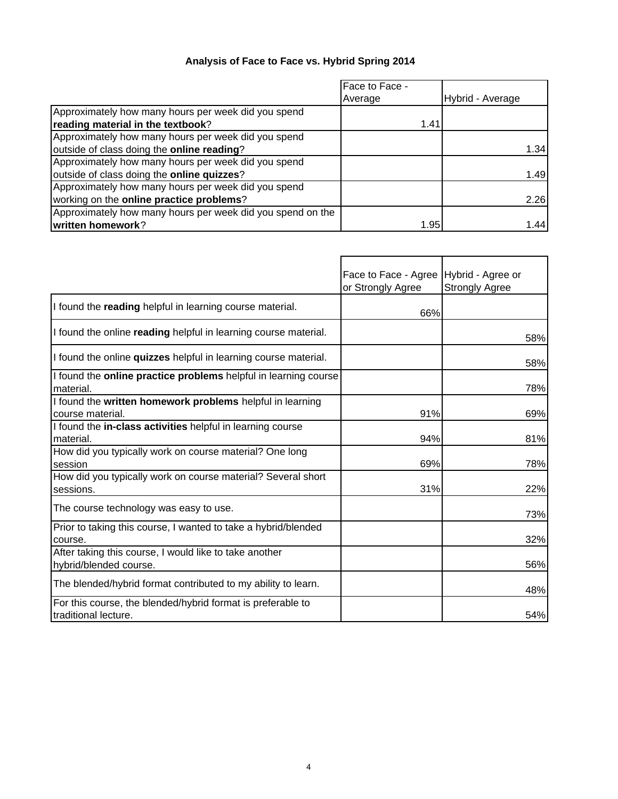# **Analysis of Face to Face vs. Hybrid Spring 2014**

|                                                            | Face to Face - |                  |
|------------------------------------------------------------|----------------|------------------|
|                                                            | Average        | Hybrid - Average |
| Approximately how many hours per week did you spend        |                |                  |
| reading material in the textbook?                          | 1.41           |                  |
| Approximately how many hours per week did you spend        |                |                  |
| outside of class doing the online reading?                 |                | 1.34             |
| Approximately how many hours per week did you spend        |                |                  |
| outside of class doing the online quizzes?                 |                | 1.49             |
| Approximately how many hours per week did you spend        |                |                  |
| working on the <b>online practice problems</b> ?           |                | 2.26             |
| Approximately how many hours per week did you spend on the |                |                  |
| written homework?                                          | 1.95           | 1.44             |

|                                                                                     | Face to Face - Agree Hybrid - Agree or<br>or Strongly Agree | <b>Strongly Agree</b> |
|-------------------------------------------------------------------------------------|-------------------------------------------------------------|-----------------------|
| I found the reading helpful in learning course material.                            | 66%                                                         |                       |
| If found the online reading helpful in learning course material.                    |                                                             | 58%                   |
| I found the online quizzes helpful in learning course material.                     |                                                             | 58%                   |
| I found the <b>online practice problems</b> helpful in learning course<br>material. |                                                             | 78%                   |
| I found the written homework problems helpful in learning<br>course material.       | 91%                                                         | 69%                   |
| I found the in-class activities helpful in learning course<br>material.             | 94%                                                         | 81%                   |
| How did you typically work on course material? One long<br>session                  | 69%                                                         | 78%                   |
| How did you typically work on course material? Several short<br>sessions.           | 31%                                                         | 22%                   |
| The course technology was easy to use.                                              |                                                             | 73%                   |
| Prior to taking this course, I wanted to take a hybrid/blended<br>course.           |                                                             | 32%                   |
| After taking this course, I would like to take another<br>hybrid/blended course.    |                                                             | 56%                   |
| The blended/hybrid format contributed to my ability to learn.                       |                                                             | 48%                   |
| For this course, the blended/hybrid format is preferable to<br>traditional lecture. |                                                             | 54%                   |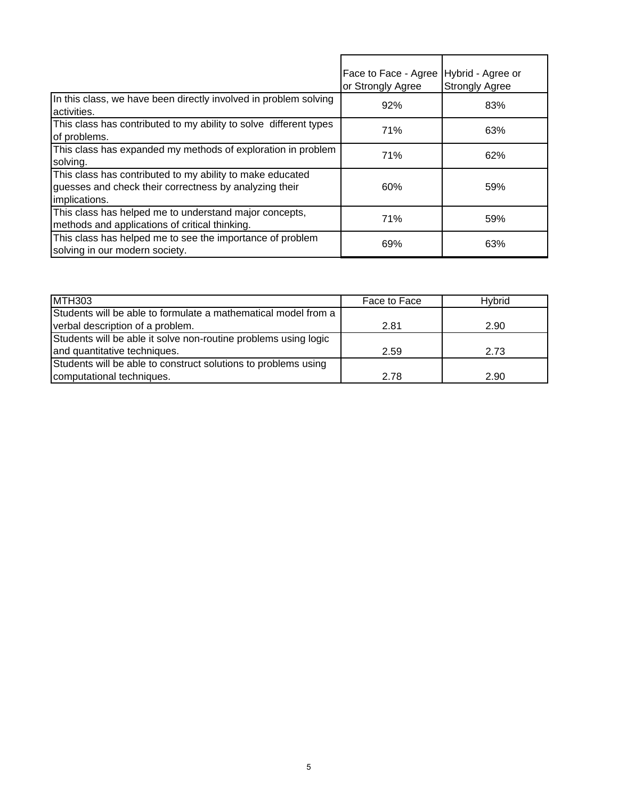|                                                                                                                                      | Face to Face - Agree<br>or Strongly Agree | Hybrid - Agree or<br><b>Strongly Agree</b> |
|--------------------------------------------------------------------------------------------------------------------------------------|-------------------------------------------|--------------------------------------------|
| In this class, we have been directly involved in problem solving<br>activities.                                                      | 92%                                       | 83%                                        |
| This class has contributed to my ability to solve different types<br>of problems.                                                    | 71%                                       | 63%                                        |
| This class has expanded my methods of exploration in problem<br>solving.                                                             | 71%                                       | 62%                                        |
| This class has contributed to my ability to make educated<br>guesses and check their correctness by analyzing their<br>implications. | 60%                                       | 59%                                        |
| This class has helped me to understand major concepts,<br>methods and applications of critical thinking.                             | 71%                                       | 59%                                        |
| This class has helped me to see the importance of problem<br>solving in our modern society.                                          | 69%                                       | 63%                                        |

| <b>MTH303</b>                                                   | Face to Face | Hybrid |
|-----------------------------------------------------------------|--------------|--------|
| Students will be able to formulate a mathematical model from a  |              |        |
| verbal description of a problem.                                | 2.81         | 2.90   |
| Students will be able it solve non-routine problems using logic |              |        |
| and quantitative techniques.                                    | 2.59         | 2.73   |
| Students will be able to construct solutions to problems using  |              |        |
| computational techniques.                                       | 2.78         | 2.90   |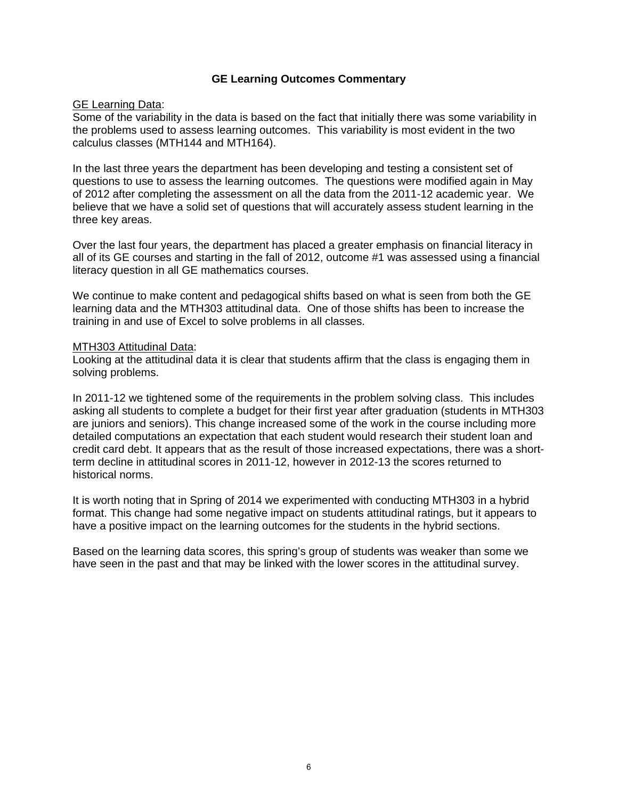#### **GE Learning Outcomes Commentary**

## **GE Learning Data:**

Some of the variability in the data is based on the fact that initially there was some variability in the problems used to assess learning outcomes. This variability is most evident in the two calculus classes (MTH144 and MTH164).

In the last three years the department has been developing and testing a consistent set of questions to use to assess the learning outcomes. The questions were modified again in May of 2012 after completing the assessment on all the data from the 2011-12 academic year. We believe that we have a solid set of questions that will accurately assess student learning in the three key areas.

Over the last four years, the department has placed a greater emphasis on financial literacy in all of its GE courses and starting in the fall of 2012, outcome #1 was assessed using a financial literacy question in all GE mathematics courses.

We continue to make content and pedagogical shifts based on what is seen from both the GE learning data and the MTH303 attitudinal data. One of those shifts has been to increase the training in and use of Excel to solve problems in all classes.

#### MTH303 Attitudinal Data:

Looking at the attitudinal data it is clear that students affirm that the class is engaging them in solving problems.

In 2011-12 we tightened some of the requirements in the problem solving class. This includes asking all students to complete a budget for their first year after graduation (students in MTH303 are juniors and seniors). This change increased some of the work in the course including more detailed computations an expectation that each student would research their student loan and credit card debt. It appears that as the result of those increased expectations, there was a shortterm decline in attitudinal scores in 2011-12, however in 2012-13 the scores returned to historical norms.

It is worth noting that in Spring of 2014 we experimented with conducting MTH303 in a hybrid format. This change had some negative impact on students attitudinal ratings, but it appears to have a positive impact on the learning outcomes for the students in the hybrid sections.

Based on the learning data scores, this spring's group of students was weaker than some we have seen in the past and that may be linked with the lower scores in the attitudinal survey.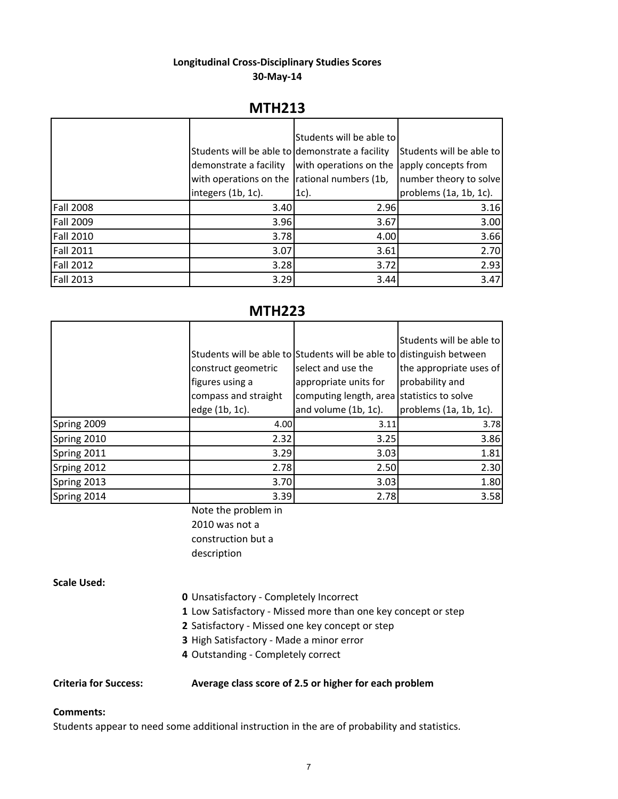## **Longitudinal Cross‐Disciplinary Studies Scores 30‐May‐14**

# **MTH213**

|                  |                                                 | Students will be able to |                                 |
|------------------|-------------------------------------------------|--------------------------|---------------------------------|
|                  |                                                 |                          |                                 |
|                  | Students will be able to demonstrate a facility |                          | <b>Students will be able to</b> |
|                  | demonstrate a facility                          | with operations on the   | apply concepts from             |
|                  | with operations on the rational numbers (1b,    |                          | number theory to solve          |
|                  | integers (1b, 1c).                              | $1c$ ).                  | problems (1a, 1b, 1c).          |
| <b>Fall 2008</b> | 3.40                                            | 2.96                     | 3.16                            |
| <b>Fall 2009</b> | 3.96                                            | 3.67                     | 3.00                            |
| <b>Fall 2010</b> | 3.78                                            | 4.00                     | 3.66                            |
| <b>Fall 2011</b> | 3.07                                            | 3.61                     | 2.70                            |
| <b>Fall 2012</b> | 3.28                                            | 3.72                     | 2.93                            |
| <b>Fall 2013</b> | 3.29                                            | 3.44                     | 3.47                            |

# **MTH223**

|             |                                                                |                                                                                                                                                                    | Students will be able to                   |
|-------------|----------------------------------------------------------------|--------------------------------------------------------------------------------------------------------------------------------------------------------------------|--------------------------------------------|
|             | construct geometric<br>figures using a<br>compass and straight | Students will be able to Students will be able to distinguish between<br>select and use the<br>appropriate units for<br>computing length, area statistics to solve | the appropriate uses of<br>probability and |
|             | edge (1b, 1c).                                                 | and volume (1b, 1c).                                                                                                                                               | problems (1a, 1b, 1c).                     |
| Spring 2009 | 4.00                                                           | 3.11                                                                                                                                                               | 3.78                                       |
| Spring 2010 | 2.32                                                           | 3.25                                                                                                                                                               | 3.86                                       |
| Spring 2011 | 3.29                                                           | 3.03                                                                                                                                                               | 1.81                                       |
| Srping 2012 | 2.78                                                           | 2.50                                                                                                                                                               | 2.30                                       |
| Spring 2013 | 3.70                                                           | 3.03                                                                                                                                                               | 1.80                                       |
| Spring 2014 | 3.39                                                           | 2.78                                                                                                                                                               | 3.58                                       |

Note the problem in 2010 was not a construction but a description

## **Scale Used:**

- **0** Unsatisfactory ‐ Completely Incorrect
- **1** Low Satisfactory ‐ Missed more than one key concept or step
- **2** Satisfactory ‐ Missed one key concept or step
- **3** High Satisfactory ‐ Made a minor error
- **4** Outstanding ‐ Completely correct

#### **Criteria for Success: Average class score of 2.5 or higher for each problem**

#### **Comments:**

Students appear to need some additional instruction in the are of probability and statistics.